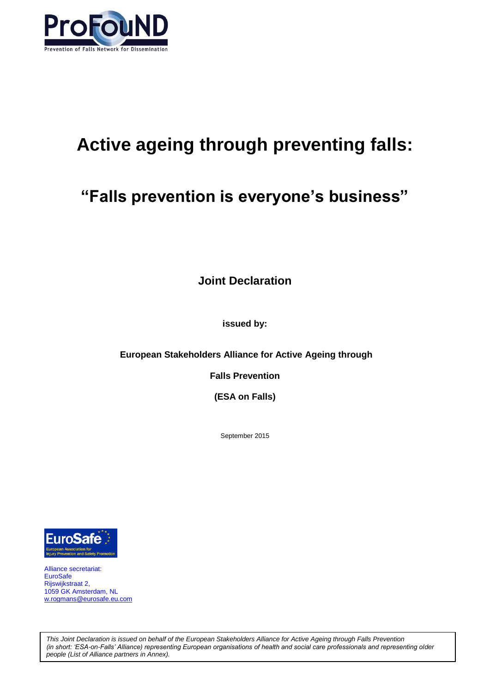

# **Active ageing through preventing falls:**

# **"Falls prevention is everyone's business"**

**Joint Declaration**

**issued by:**

**European Stakeholders Alliance for Active Ageing through**

**Falls Prevention**

**(ESA on Falls)**

September 2015



Alliance secretariat: **EuroSafe** Rijswijkstraat 2, 1059 GK Amsterdam, NL [w.rogmans@eurosafe.eu.com](mailto:w.rogmans@eurosafe.eu.com)

*This Joint Declaration is issued on behalf of the European Stakeholders Alliance for Active Ageing through Falls Prevention (in short: 'ESA-on-Falls' Alliance) representing European organisations of health and social care professionals and representing older people (List of Alliance partners in Annex).*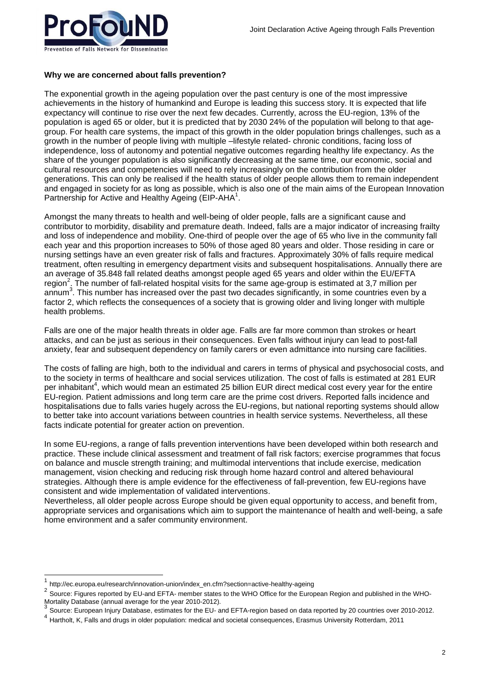# **Why we are concerned about falls prevention?**

The exponential growth in the ageing population over the past century is one of the most impressive achievements in the history of humankind and Europe is leading this success story. It is expected that life expectancy will continue to rise over the next few decades. Currently, across the EU-region, 13% of the population is aged 65 or older, but it is predicted that by 2030 24% of the population will belong to that agegroup. For health care systems, the impact of this growth in the older population brings challenges, such as a growth in the number of people living with multiple –lifestyle related- chronic conditions, facing loss of independence, loss of autonomy and potential negative outcomes regarding healthy life expectancy. As the share of the younger population is also significantly decreasing at the same time, our economic, social and cultural resources and competencies will need to rely increasingly on the contribution from the older generations. This can only be realised if the health status of older people allows them to remain independent and engaged in society for as long as possible, which is also one of the main aims of the European Innovation Partnership for Active and Healthy Ageing (EIP-AHA<sup>1</sup>.

Amongst the many threats to health and well-being of older people, falls are a significant cause and contributor to morbidity, disability and premature death. Indeed, falls are a major indicator of increasing frailty and loss of independence and mobility. One-third of people over the age of 65 who live in the community fall each year and this proportion increases to 50% of those aged 80 years and older. Those residing in care or nursing settings have an even greater risk of falls and fractures. Approximately 30% of falls require medical treatment, often resulting in emergency department visits and subsequent hospitalisations. Annually there are an average of 35.848 fall related deaths amongst people aged 65 years and older within the EU/EFTA region<sup>2</sup>. The number of fall-related hospital visits for the same age-group is estimated at 3,7 million per annum<sup>3</sup>. This number has increased over the past two decades significantly, in some countries even by a factor 2, which reflects the consequences of a society that is growing older and living longer with multiple health problems.

Falls are one of the major health threats in older age. Falls are far more common than strokes or heart attacks, and can be just as serious in their consequences. Even falls without injury can lead to post-fall anxiety, fear and subsequent dependency on family carers or even admittance into nursing care facilities.

The costs of falling are high, both to the individual and carers in terms of physical and psychosocial costs, and to the society in terms of healthcare and social services utilization. The cost of falls is estimated at 281 EUR per inhabitant<sup>4</sup>, which would mean an estimated 25 billion EUR direct medical cost every year for the entire EU-region. Patient admissions and long term care are the prime cost drivers. Reported falls incidence and hospitalisations due to falls varies hugely across the EU-regions, but national reporting systems should allow to better take into account variations between countries in health service systems. Nevertheless, all these facts indicate potential for greater action on prevention.

In some EU-regions, a range of falls prevention interventions have been developed within both research and practice. These include clinical assessment and treatment of fall risk factors; exercise programmes that focus on balance and muscle strength training; and multimodal interventions that include exercise, medication management, vision checking and reducing risk through home hazard control and altered behavioural strategies. Although there is ample evidence for the effectiveness of fall-prevention, few EU-regions have consistent and wide implementation of validated interventions.

Nevertheless, all older people across Europe should be given equal opportunity to access, and benefit from, appropriate services and organisations which aim to support the maintenance of health and well-being, a safe home environment and a safer community environment.

l

<sup>1</sup> http://ec.europa.eu/research/innovation-union/index\_en.cfm?section=active-healthy-ageing

<sup>2</sup> Source: Figures reported by EU-and EFTA- member states to the WHO Office for the European Region and published in the WHO-Mortality Database (annual average for the year 2010-2012).<br>3 October European Islam Database assimates for the EU o

Source: European Injury Database, estimates for the EU- and EFTA-region based on data reported by 20 countries over 2010-2012.

<sup>4</sup> Hartholt, K, Falls and drugs in older population: medical and societal consequences, Erasmus University Rotterdam, 2011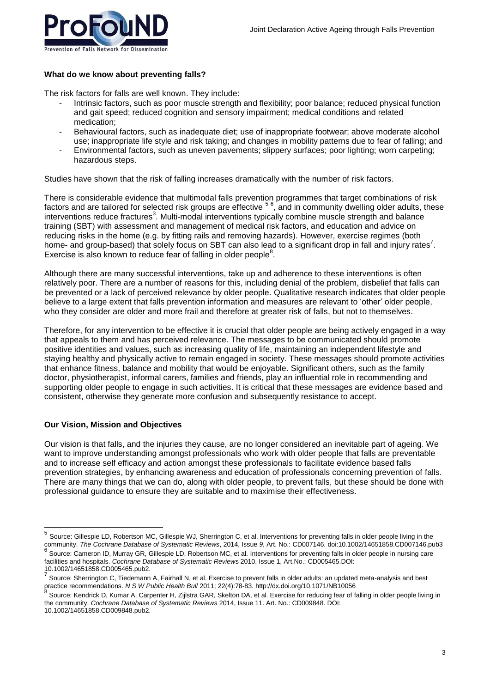

# **What do we know about preventing falls?**

The risk factors for falls are well known. They include:

- Intrinsic factors, such as poor muscle strength and flexibility; poor balance; reduced physical function and gait speed; reduced cognition and sensory impairment; medical conditions and related medication;
- Behavioural factors, such as inadequate diet; use of inappropriate footwear; above moderate alcohol use; inappropriate life style and risk taking; and changes in mobility patterns due to fear of falling; and
- Environmental factors, such as uneven pavements; slippery surfaces; poor lighting; worn carpeting; hazardous steps.

Studies have shown that the risk of falling increases dramatically with the number of risk factors.

There is considerable evidence that multimodal falls prevention programmes that target combinations of risk factors and are tailored for selected risk groups are effective <sup>56</sup>, and in community dwelling older adults, these interventions reduce fractures<sup>3</sup>. Multi-modal interventions typically combine muscle strength and balance training (SBT) with assessment and management of medical risk factors, and education and advice on reducing risks in the home (e.g. by fitting rails and removing hazards). However, exercise regimes (both home- and group-based) that solely focus on SBT can also lead to a significant drop in fall and injury rates<sup>7</sup>. Exercise is also known to reduce fear of falling in older people<sup>8</sup>.

Although there are many successful interventions, take up and adherence to these interventions is often relatively poor. There are a number of reasons for this, including denial of the problem, disbelief that falls can be prevented or a lack of perceived relevance by older people. Qualitative research indicates that older people believe to a large extent that falls prevention information and measures are relevant to 'other' older people, who they consider are older and more frail and therefore at greater risk of falls, but not to themselves.

Therefore, for any intervention to be effective it is crucial that older people are being actively engaged in a way that appeals to them and has perceived relevance. The messages to be communicated should promote positive identities and values, such as increasing quality of life, maintaining an independent lifestyle and staying healthy and physically active to remain engaged in society. These messages should promote activities that enhance fitness, balance and mobility that would be enjoyable. Significant others, such as the family doctor, physiotherapist, informal carers, families and friends, play an influential role in recommending and supporting older people to engage in such activities. It is critical that these messages are evidence based and consistent, otherwise they generate more confusion and subsequently resistance to accept.

#### **Our Vision, Mission and Objectives**

Our vision is that falls, and the injuries they cause, are no longer considered an inevitable part of ageing. We want to improve understanding amongst professionals who work with older people that falls are preventable and to increase self efficacy and action amongst these professionals to facilitate evidence based falls prevention strategies, by enhancing awareness and education of professionals concerning prevention of falls. There are many things that we can do, along with older people, to prevent falls, but these should be done with professional guidance to ensure they are suitable and to maximise their effectiveness.

 5 Source: Gillespie LD, Robertson MC, Gillespie WJ, Sherrington C, et al. Interventions for preventing falls in older people living in the community. *The Cochrane Database of Systematic Reviews*, 2014, Issue *9*, Art. No.: CD007146. doi:10.1002/14651858.CD007146.pub3<br><sup>6</sup> Causes: Compass ID, Murray CD, Cillearia LD, Dahartaar MC, at al. Intervasions far assus Source: Cameron ID, Murray GR, Gillespie LD, Robertson MC, et al. Interventions for preventing falls in older people in nursing care facilities and hospitals. *Cochrane Database of Systematic Review*s 2010, Issue 1, Art.No.: CD005465.DOI:

<sup>10.1002/14651858.</sup>CD005465.pub2. 7 Source: Sherrington C, Tiedemann A, Fairhall N, et al. Exercise to prevent falls in older adults: an updated meta-analysis and best practice recommendations. *N S W Public Health Bull* 2011; 22(4):78-83. http://dx.doi.org/10.1071/NB10056<br>8 Dessert Kandrick D. Kumer & Carrenter U. Zijlette CAD, Skalter DA, at al. Eugenie for reducing foar af l

Source: Kendrick D, Kumar A, Carpenter H, Zijlstra GAR, Skelton DA, et al. Exercise for reducing fear of falling in older people living in the community. *Cochrane Database of Systematic Reviews* 2014, Issue 11. Art. No.: CD009848. DOI: 10.1002/14651858.CD009848.pub2.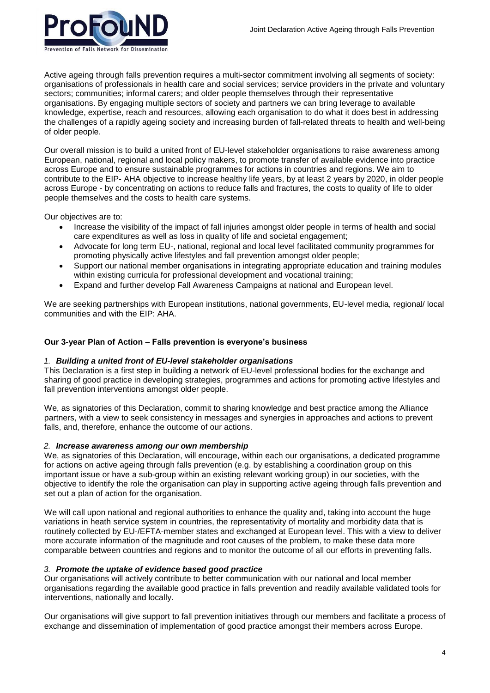

Active ageing through falls prevention requires a multi-sector commitment involving all segments of society: organisations of professionals in health care and social services; service providers in the private and voluntary sectors; communities; informal carers; and older people themselves through their representative organisations. By engaging multiple sectors of society and partners we can bring leverage to available knowledge, expertise, reach and resources, allowing each organisation to do what it does best in addressing the challenges of a rapidly ageing society and increasing burden of fall-related threats to health and well-being of older people.

Our overall mission is to build a united front of EU-level stakeholder organisations to raise awareness among European, national, regional and local policy makers, to promote transfer of available evidence into practice across Europe and to ensure sustainable programmes for actions in countries and regions. We aim to contribute to the EIP- AHA objective to increase healthy life years, by at least 2 years by 2020, in older people across Europe - by concentrating on actions to reduce falls and fractures, the costs to quality of life to older people themselves and the costs to health care systems.

Our objectives are to:

- Increase the visibility of the impact of fall injuries amongst older people in terms of health and social care expenditures as well as loss in quality of life and societal engagement;
- Advocate for long term EU-, national, regional and local level facilitated community programmes for promoting physically active lifestyles and fall prevention amongst older people;
- Support our national member organisations in integrating appropriate education and training modules within existing curricula for professional development and vocational training;
- Expand and further develop Fall Awareness Campaigns at national and European level.

We are seeking partnerships with European institutions, national governments, EU-level media, regional/ local communities and with the EIP: AHA.

#### **Our 3-year Plan of Action – Falls prevention is everyone's business**

#### *1. Building a united front of EU-level stakeholder organisations*

This Declaration is a first step in building a network of EU-level professional bodies for the exchange and sharing of good practice in developing strategies, programmes and actions for promoting active lifestyles and fall prevention interventions amongst older people.

We, as signatories of this Declaration, commit to sharing knowledge and best practice among the Alliance partners, with a view to seek consistency in messages and synergies in approaches and actions to prevent falls, and, therefore, enhance the outcome of our actions.

#### *2. Increase awareness among our own membership*

We, as signatories of this Declaration, will encourage, within each our organisations, a dedicated programme for actions on active ageing through falls prevention (e.g. by establishing a coordination group on this important issue or have a sub-group within an existing relevant working group) in our societies, with the objective to identify the role the organisation can play in supporting active ageing through falls prevention and set out a plan of action for the organisation.

We will call upon national and regional authorities to enhance the quality and, taking into account the huge variations in heath service system in countries, the representativity of mortality and morbidity data that is routinely collected by EU-/EFTA-member states and exchanged at European level. This with a view to deliver more accurate information of the magnitude and root causes of the problem, to make these data more comparable between countries and regions and to monitor the outcome of all our efforts in preventing falls.

#### *3. Promote the uptake of evidence based good practice*

Our organisations will actively contribute to better communication with our national and local member organisations regarding the available good practice in falls prevention and readily available validated tools for interventions, nationally and locally.

Our organisations will give support to fall prevention initiatives through our members and facilitate a process of exchange and dissemination of implementation of good practice amongst their members across Europe.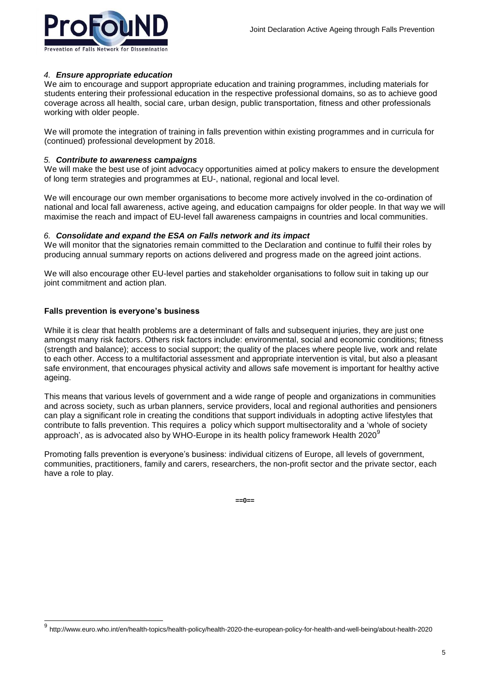# *4. Ensure appropriate education*

We aim to encourage and support appropriate education and training programmes, including materials for students entering their professional education in the respective professional domains, so as to achieve good coverage across all health, social care, urban design, public transportation, fitness and other professionals working with older people.

We will promote the integration of training in falls prevention within existing programmes and in curricula for (continued) professional development by 2018.

#### *5. Contribute to awareness campaigns*

We will make the best use of joint advocacy opportunities aimed at policy makers to ensure the development of long term strategies and programmes at EU-, national, regional and local level.

We will encourage our own member organisations to become more actively involved in the co-ordination of national and local fall awareness, active ageing, and education campaigns for older people. In that way we will maximise the reach and impact of EU-level fall awareness campaigns in countries and local communities.

# *6. Consolidate and expand the ESA on Falls network and its impact*

We will monitor that the signatories remain committed to the Declaration and continue to fulfil their roles by producing annual summary reports on actions delivered and progress made on the agreed joint actions.

We will also encourage other EU-level parties and stakeholder organisations to follow suit in taking up our joint commitment and action plan.

# **Falls prevention is everyone's business**

l

While it is clear that health problems are a determinant of falls and subsequent injuries, they are just one amongst many risk factors. Others risk factors include: environmental, social and economic conditions; fitness (strength and balance); access to social support; the quality of the places where people live, work and relate to each other. Access to a multifactorial assessment and appropriate intervention is vital, but also a pleasant safe environment, that encourages physical activity and allows safe movement is important for healthy active ageing.

This means that various levels of government and a wide range of people and organizations in communities and across society, such as urban planners, service providers, local and regional authorities and pensioners can play a significant role in creating the conditions that support individuals in adopting active lifestyles that contribute to falls prevention. This requires a policy which support multisectorality and a 'whole of society approach', as is advocated also by WHO-Europe in its health policy framework Health 2020<sup>9</sup>

Promoting falls prevention is everyone's business: individual citizens of Europe, all levels of government, communities, practitioners, family and carers, researchers, the non-profit sector and the private sector, each have a role to play.

**==0==**

<sup>9</sup> http://www.euro.who.int/en/health-topics/health-policy/health-2020-the-european-policy-for-health-and-well-being/about-health-2020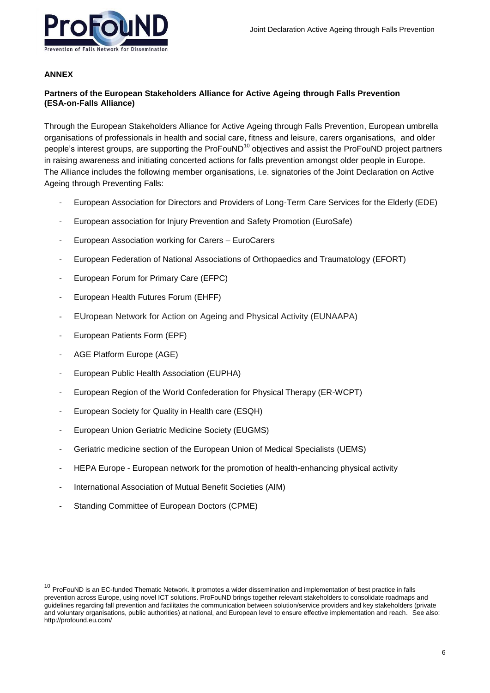# **ANNEX**

l

# **Partners of the European Stakeholders Alliance for Active Ageing through Falls Prevention (ESA-on-Falls Alliance)**

Through the European Stakeholders Alliance for Active Ageing through Falls Prevention, European umbrella organisations of professionals in health and social care, fitness and leisure, carers organisations, and older people's interest groups, are supporting the ProFouND<sup>10</sup> objectives and assist the ProFouND project partners in raising awareness and initiating concerted actions for falls prevention amongst older people in Europe. The Alliance includes the following member organisations, i.e. signatories of the Joint Declaration on Active Ageing through Preventing Falls:

- European Association for Directors and Providers of Long-Term Care Services for the Elderly (EDE)
- European association for Injury Prevention and Safety Promotion (EuroSafe)
- European Association working for Carers EuroCarers
- European Federation of National Associations of Orthopaedics and Traumatology (EFORT)
- European Forum for Primary Care (EFPC)
- European Health Futures Forum (EHFF)
- EUropean Network for Action on Ageing and Physical Activity (EUNAAPA)
- European Patients Form (EPF)
- AGE Platform Europe (AGE)
- European Public Health Association (EUPHA)
- European Region of the World Confederation for Physical Therapy (ER-WCPT)
- European Society for Quality in Health care (ESQH)
- European Union Geriatric Medicine Society (EUGMS)
- Geriatric medicine section of the European Union of Medical Specialists (UEMS)
- HEPA Europe European network for the promotion of health-enhancing physical activity
- International Association of Mutual Benefit Societies (AIM)
- Standing Committee of European Doctors (CPME)

ProFouND is an EC-funded Thematic Network. It promotes a wider dissemination and implementation of best practice in falls prevention across Europe, using novel ICT solutions. ProFouND brings together relevant stakeholders to consolidate roadmaps and guidelines regarding fall prevention and facilitates the communication between solution/service providers and key stakeholders (private and voluntary organisations, public authorities) at national, and European level to ensure effective implementation and reach. See also: http://profound.eu.com/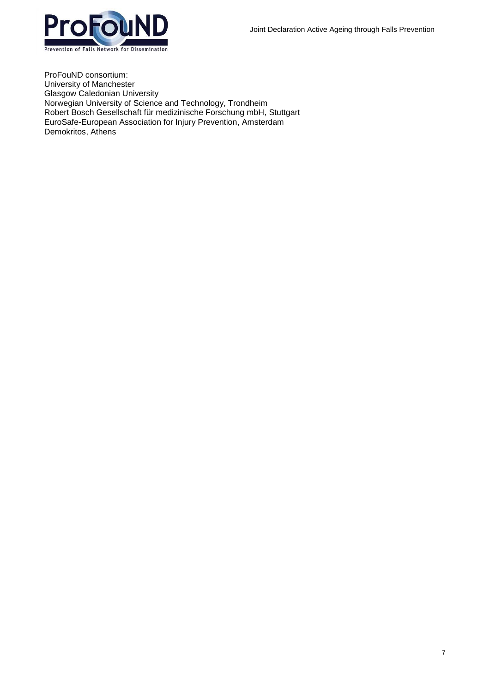

ProFouND consortium: University of Manchester Glasgow Caledonian University Norwegian University of Science and Technology, Trondheim Robert Bosch Gesellschaft für medizinische Forschung mbH, Stuttgart EuroSafe-European Association for Injury Prevention, Amsterdam Demokritos, Athens